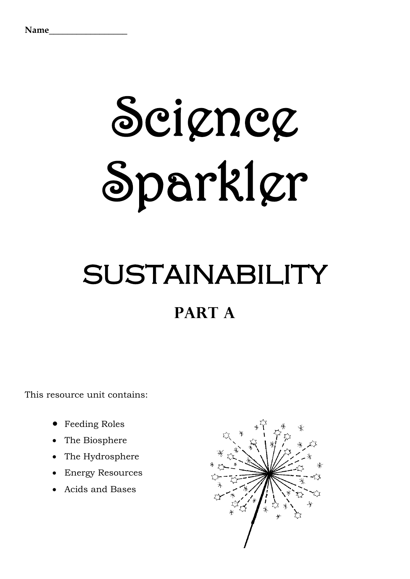# Seigneg Sparkler

# SUSTAINABILITY **PART A**

This resource unit contains:

- Feeding Roles
- The Biosphere
- The Hydrosphere
- Energy Resources
- Acids and Bases

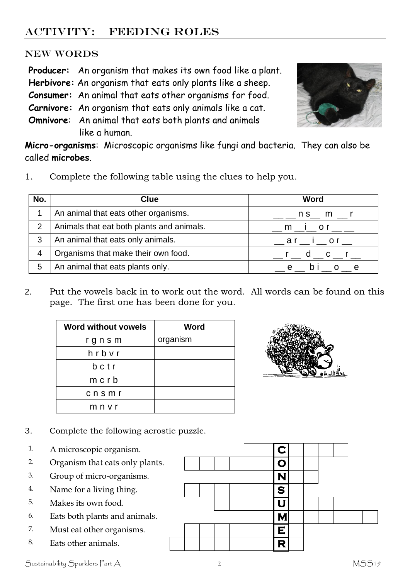# ACTIVITY: FEEDING ROLES

#### NEW WORDS

**Producer:** An organism that makes its own food like a plant. **Herbivore:** An organism that eats only plants like a sheep. **Consumer:** An animal that eats other organisms for food. **Carnivore:** An organism that eats only animals like a cat. **Omnivore**: An animal that eats both plants and animals like a human.



**Micro-organisms**: Microscopic organisms like fungi and bacteria. They can also be called **microbes**.

1. Complete the following table using the clues to help you.

| No. | Clue                                      | Word                          |
|-----|-------------------------------------------|-------------------------------|
|     | An animal that eats other organisms.      | $n s$ <sub>m</sub> $m$        |
| 2   | Animals that eat both plants and animals. | <u>__ m __ i __ o r __ __</u> |
| 3   | An animal that eats only animals.         | $ar$ i or                     |
|     | Organisms that make their own food.       | r d c r                       |
| 5   | An animal that eats plants only.          | D <sub>1</sub>                |

2. Put the vowels back in to work out the word. All words can be found on this page. The first one has been done for you.

| <b>Word without vowels</b> | <b>Word</b> |
|----------------------------|-------------|
| rgnsm                      | organism    |
| hrbvr                      |             |
| bctr                       |             |
| $m$ c $r$ b                |             |
| cnsmr                      |             |
| mnvr                       |             |



- 3. Complete the following acrostic puzzle.
- 1. A microscopic organism.
- 2. Organism that eats only plants. **O**
- 
- 
- 
- 6. Eats both plants and animals.  $\blacksquare$
- 
- 

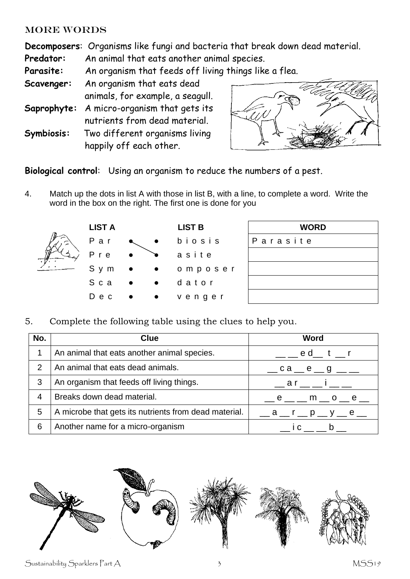#### MORE WORDS

**Decomposers**: Organisms like fungi and bacteria that break down dead material.

**Predator:** An animal that eats another animal species.

**Parasite:** An organism that feeds off living things like a flea.

- **Scavenger:** An organism that eats dead animals, for example, a seagull.
- **Saprophyte:** A micro-organism that gets its nutrients from dead material.
- **Symbiosis:** Two different organisms living happily off each other.



**Biological control**: Using an organism to reduce the numbers of a pest.

4. Match up the dots in list A with those in list B, with a line, to complete a word. Write the word in the box on the right. The first one is done for you



| <b>WORD</b> |  |  |  |  |  |  |
|-------------|--|--|--|--|--|--|
| Parasite    |  |  |  |  |  |  |
|             |  |  |  |  |  |  |
|             |  |  |  |  |  |  |
|             |  |  |  |  |  |  |
|             |  |  |  |  |  |  |

5. Complete the following table using the clues to help you. 5.

| No. | Clue                                                  | Word                                                         |
|-----|-------------------------------------------------------|--------------------------------------------------------------|
|     | An animal that eats another animal species.           | __ __ e d__ t __ r                                           |
| 2   | An animal that eats dead animals.                     | $\_\_$ ca $\_\_$ e $\_\_$ g $\_\_$                           |
| 3   | An organism that feeds off living things.             | $\frac{1}{2}$ ar $\frac{1}{2}$ i $\frac{1}{2}$ $\frac{1}{2}$ |
| 4   | Breaks down dead material.                            | __ e __ __ m __ o __ e __                                    |
| 5   | A microbe that gets its nutrients from dead material. | $a r p p$ y e =                                              |
| 6   | Another name for a micro-organism                     | <b>C</b>                                                     |



Sustainability Sparklers Part A 3 3 MSS19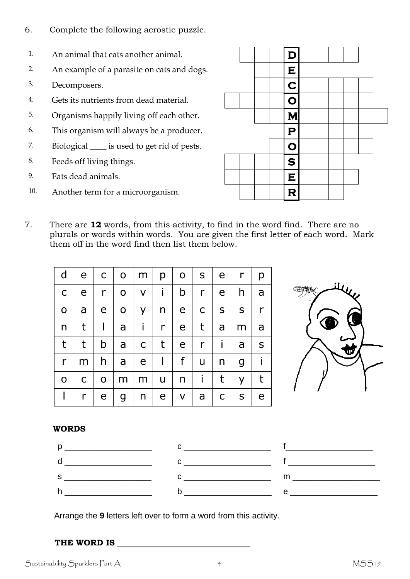- 6. Complete the following acrostic puzzle.
- 1. An animal that eats another animal. **D D**
- 2. An example of a parasite on cats and dogs.  $\|\cdot\|$
- $\blacksquare$  Decomposers.  $\blacksquare$   $\blacksquare$
- 4. Gets its nutrients from dead material. **O**
- 5. Organisms happily living off each other. **M M**
- 6. This organism will always be a producer.  $\mathbf{P}$
- 7. Biological <u>s</u> is used to get rid of pests.
- 8. Feeds off living things.  $\|\cdot\|$   $\|\cdot\|$
- 9. Eats dead animals.  $\blacksquare$
- 10. Another term for a microorganism.
- 7. There are **12** words, from this activity, to find in the word find. There are no plurals or words within words. You are given the first letter of each word. Mark them off in the word find then list them below.

| d            |              | $e$   $c$    |              | $O \mid m \mid p \mid$ |              | $\mathsf{O}$   | $S \mid$        | e <sub>1</sub> | $\mathsf{r}$ | p            |
|--------------|--------------|--------------|--------------|------------------------|--------------|----------------|-----------------|----------------|--------------|--------------|
| $\mathsf{C}$ | e            | $\mathsf{r}$ | $\mathbf{O}$ | $\mathsf{V}$           | Ť.           | b              | $\mathsf{r}$    | $\mathsf{e}$   | h.           | a            |
| $\mathbf O$  | a            | $\mathsf{e}$ |              | $O \mid Y$             | $n \mid$     | $\mathsf{e}\,$ | $\mathsf{C}$    | S              | $\mathsf{S}$ | $\mathsf{r}$ |
| n            | t            | $\mathbf{L}$ | a            | j.                     | $\mathsf{r}$ | e              | $t_{\parallel}$ | a              | m            | a            |
| t            | $\mathsf t$  | b            | a            | $\mathsf{C}$           | t            | $\mathsf{e}$   | $\mathsf{r}$    | j.             | a            | S            |
| r            | m            | h.           | a            | e <sub>1</sub>         | $\mathbf{I}$ | f              | u               | n              | g            | $\mathbf{I}$ |
| O            | $\mathsf{C}$ | $\mathsf{O}$ | m            | m                      | $\mathsf{u}$ | n              | Ť               | $\mathsf{t}$   | y            | t            |
|              | r            | e            | $\mathsf{g}$ | n                      | e            | $\mathsf{V}$   | a               | $\mathsf{C}$   | $\mathsf{S}$ | e            |

#### **WORDS**



Arrange the **9** letters left over to form a word from this activity.

#### **THE WORD IS** \_\_\_\_\_\_\_\_\_\_\_\_\_\_\_\_\_\_\_\_\_\_\_\_\_\_\_\_\_

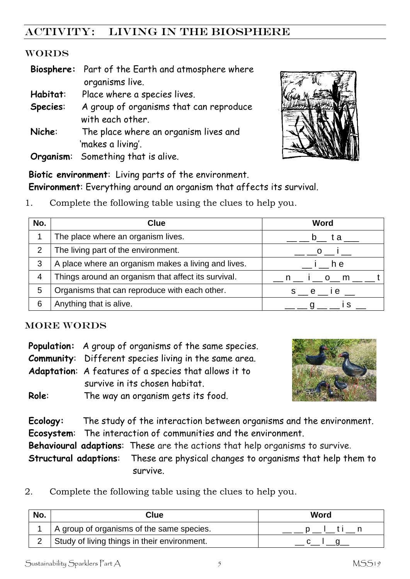# ACTIVITY: LIVING IN THE BIOSPHERE

#### WORDS

|           | Biosphere: Part of the Earth and atmosphere where |
|-----------|---------------------------------------------------|
|           | organisms live.                                   |
| Habitat:  | Place where a species lives.                      |
| Species:  | A group of organisms that can reproduce           |
|           | with each other.                                  |
| Niche:    | The place where an organism lives and             |
|           | 'makes a living'.                                 |
| Organism: | Something that is alive.                          |



**Biotic environment**: Living parts of the environment. **Environment**: Everything around an organism that affects its survival.

1. Complete the following table using the clues to help you.

| No.            | <b>Clue</b>                                         | Word     |
|----------------|-----------------------------------------------------|----------|
|                | The place where an organism lives.                  | t a      |
| $\overline{2}$ | The living part of the environment.                 | $\Omega$ |
| 3              | A place where an organism makes a living and lives. | h e      |
| 4              | Things around an organism that affect its survival. | n io m   |
| 5              | Organisms that can reproduce with each other.       | s e ie   |
| 6              | Anything that is alive.                             |          |

#### MORE WORDS

|       | <b>Population:</b> A group of organisms of the same species. |
|-------|--------------------------------------------------------------|
|       | <b>Community:</b> Different species living in the same area. |
|       | Adaptation: A features of a species that allows it to        |
|       | survive in its chosen habitat.                               |
| Role: | The way an organism gets its food.                           |



**Ecology:** The study of the interaction between organisms and the environment. **Ecosystem**: The interaction of communities and the environment. **Behavioural adaptions**: These are the actions that help organisms to survive.

**Structural adaptions**: These are physical changes to organisms that help them to survive.

2. Complete the following table using the clues to help you.

| No. | Clue                                         | Word |
|-----|----------------------------------------------|------|
|     | A group of organisms of the same species.    |      |
|     | Study of living things in their environment. |      |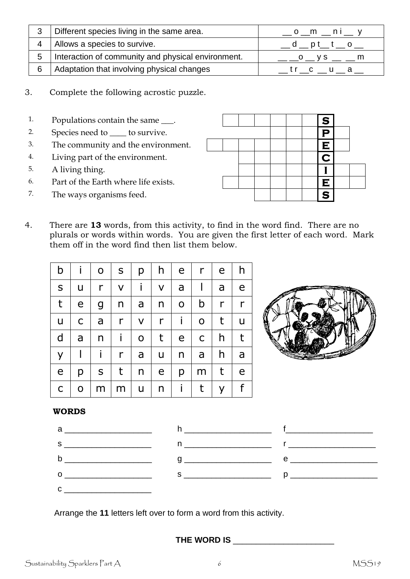|   | Different species living in the same area.         | $\sim$ 0 $\sim$ m $\sim$ n i $\sim$ y |
|---|----------------------------------------------------|---------------------------------------|
|   | Allows a species to survive.                       |                                       |
| 5 | Interaction of community and physical environment. |                                       |
| 6 | Adaptation that involving physical changes         | trc u a                               |

- 3. Complete the following acrostic puzzle.
- 1. Populations contain the same  $\qquad$ . **S**
- 2. Species need to <u>contract to survive</u>.
- 3. The community and the environment. **E**
- 4. Living part of the environment. **C**
- 5. A living thing.  $\blacksquare$
- 6. Part of the Earth where life exists. **E**
- 7. The ways organisms feed.  $\begin{array}{ccc} \hline \end{array}$   $\begin{array}{ccc} \hline \end{array}$   $\begin{array}{ccc} \hline \end{array}$   $\begin{array}{ccc} \hline \end{array}$
- 4. There are **13** words, from this activity, to find in the word find. There are no plurals or words within words. You are given the first letter of each word. Mark them off in the word find then list them below.

| b            |                          | $\mathbf O$ | $\mathsf{S}$ | p            | h.              | $\mathsf{e}$ | r            | e            | h             |
|--------------|--------------------------|-------------|--------------|--------------|-----------------|--------------|--------------|--------------|---------------|
| $\sf S$      | U                        | r           | V            | i.           | $\mathsf{V}$    | a            | $\mathsf{I}$ | a            | e             |
| t            | e                        | g           | n            | a            | n               | $\mathsf O$  | b            | $\mathsf{r}$ | $\mathsf{r}$  |
| u            | $\mathsf{C}$             | a           | r            | $\mathsf{V}$ | $\mathsf{r}$    | j.           | $\mathbf O$  | t            | $\mathsf{u}%$ |
| $\mathsf{d}$ | a                        | n           | j.           | $\mathsf{O}$ | $\mathsf{t}$    | $\mathsf{e}$ | $\mathsf{C}$ | h            | t             |
| y            | $\overline{\phantom{a}}$ |             | $\mathsf{r}$ | a            | u               | n            | a            | h            | a             |
| $\mathsf{e}$ | p                        | S           | t            | $\mathsf{n}$ | $\mathsf{e}$    | p            | m            | t            | e             |
| $\mathsf C$  | 0                        | m           | m            | u            | $n_{\parallel}$ | $\mathbf{i}$ | t            | y            | f             |



#### **WORDS**



Arrange the **11** letters left over to form a word from this activity.

**THE WORD IS** \_\_\_\_\_\_\_\_\_\_\_\_\_\_\_\_\_\_\_\_\_\_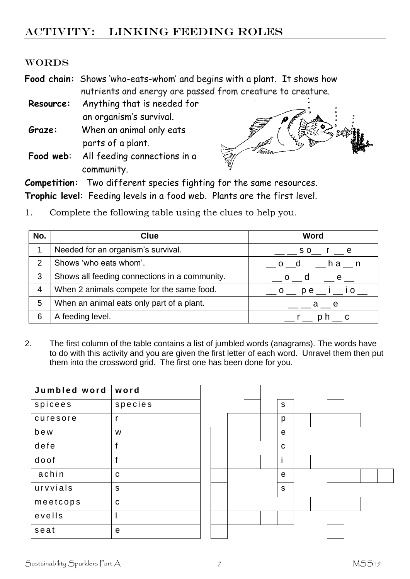## ACTIVITY: linking FEEDING ROLES

#### WORDS

**Food chain:** Shows 'who-eats-whom' and begins with a plant. It shows how nutrients and energy are passed from creature to creature.

**Resource:** Anything that is needed for an organism's survival. **Graze:** When an animal only eats

- parts of a plant.
- **Food web**: All feeding connections in a community.



**Competition:** Two different species fighting for the same resources. **Trophic level**: Feeding levels in a food web. Plants are the first level.

- **No. Clue Word** 1 Needed for an organism's survival.  $\Box$  \_\_\_ s o\_\_ r \_\_ e 2 Shows 'who eats whom'.  $\begin{array}{cccc} 2 & 0 & d \\ -1 & 0 & 0 \end{array}$  h a \_\_ n 3 Shows all feeding connections in a community.  $\Box$  o  $\Box$  d  $\Box$  e  $\Box$ 4 | When 2 animals compete for the same food.  $\Box$  o  $\Box$  p e  $\Box$  i  $\Box$  i o  $\Box$ 5 When an animal eats only part of a plant.  $\Box$  \_\_ \_\_ a \_\_ e 6 A feeding level.  $\begin{array}{ccc} \hline \end{array}$  6 A feeding level.
- 1. Complete the following table using the clues to help you.

2. The first column of the table contains a list of jumbled words (anagrams). The words have to do with this activity and you are given the first letter of each word. Unravel them then put them into the crossword grid. The first one has been done for you.

| Jumbled word | word    |  |  |             |
|--------------|---------|--|--|-------------|
| spicees      | species |  |  | S           |
| curesore     | r       |  |  | p           |
| bew          | W       |  |  | e           |
| defe         | f       |  |  | $\mathbf C$ |
| doof         | f       |  |  | İ           |
| achin        | C       |  |  | $\mathbf e$ |
| urvvials     | S       |  |  | S           |
| meetcops     | C       |  |  |             |
| evells       |         |  |  |             |
| seat         | e       |  |  |             |

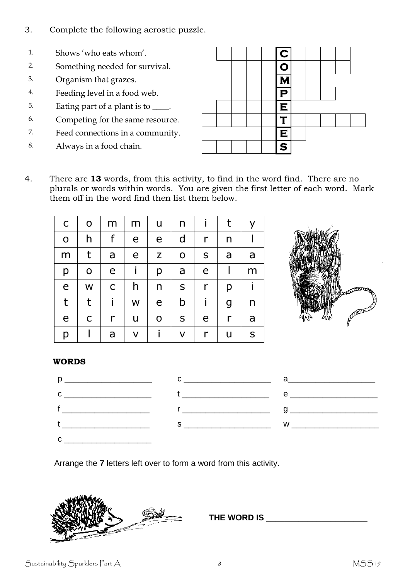- 3. Complete the following acrostic puzzle.
- 1. Shows 'who eats whom'.
- 2. Something needed for survival.
- 3. Organism that grazes.
- 4. Feeding level in a food web.
- 5. Eating part of a plant is to <u>\_\_\_\_</u>.
- 6. Competing for the same resource.
- 7. Feed connections in a community.
- 8. Always in a food chain.

|  |  | $ {\bf C} $             |  |  |  |
|--|--|-------------------------|--|--|--|
|  |  | $\overline{O}$          |  |  |  |
|  |  | <b>N</b>                |  |  |  |
|  |  | P                       |  |  |  |
|  |  | E                       |  |  |  |
|  |  | −                       |  |  |  |
|  |  | E                       |  |  |  |
|  |  | $\overline{\mathbf{s}}$ |  |  |  |

4. There are **13** words, from this activity, to find in the word find. There are no plurals or words within words. You are given the first letter of each word. Mark them off in the word find then list them below.

| $\mathsf C$ | $\mathsf O$ | m | m | u            | n           |   | t | У |
|-------------|-------------|---|---|--------------|-------------|---|---|---|
| $\mathbf O$ | h           | f | e | e            | d           | r | n |   |
| m           | t           | a | e | Z            | $\mathsf O$ | S | a | a |
| р           | $\mathsf O$ | e |   | р            | a           | e |   | m |
| e           | W           | C | h | $\mathsf{n}$ | ${\sf S}$   | r | p |   |
| t           | t           |   | W | e            | b           |   | g | n |
| e           | C           | r | u | $\mathbf O$  | S           | e | r | a |
| р           |             | a | V |              | V           | r | u | S |



#### **WORDS**



Arrange the **7** letters left over to form a word from this activity.



**THE WORD IS** \_\_\_\_\_\_\_\_\_\_\_\_\_\_\_\_\_\_\_\_\_\_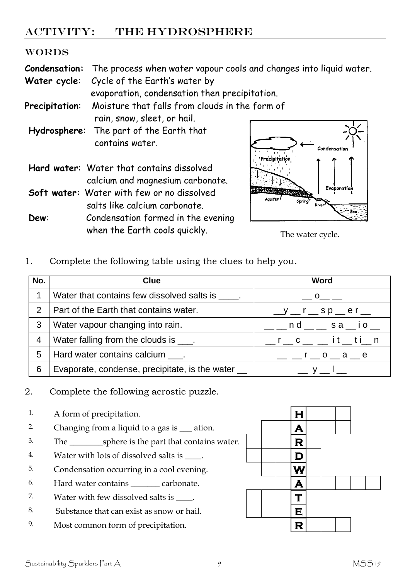### ACTIVITY: THE HYDROSPHERE

#### WORDS

**Condensation:** The process when water vapour cools and changes into liquid water.

**Water cycle**: Cycle of the Earth's water by

evaporation, condensation then precipitation.

**Precipitation**: Moisture that falls from clouds in the form of

rain, snow, sleet, or hail. **Hydrosphere**: The part of the Earth that contains water.

- **Hard water**: Water that contains dissolved calcium and magnesium carbonate. **Soft water:** Water with few or no dissolved
- salts like calcium carbonate. **Dew**: Condensation formed in the evening



when the Earth cools quickly. The water cycle.

1. Complete the following table using the clues to help you.

| No.            | <b>Clue</b>                                       | Word                                                                                            |
|----------------|---------------------------------------------------|-------------------------------------------------------------------------------------------------|
| 1              | Water that contains few dissolved salts is _____. | $-0$ — —                                                                                        |
| $\overline{2}$ | Part of the Earth that contains water.            | $y = r$ sp er =                                                                                 |
| 3              | Water vapour changing into rain.                  | $\rule{1em}{0.15mm} \label{1.1}$ $\ldots$ $\blacksquare$ n d $\ldots$ s a $\ldots$ i o $\ldots$ |
| $\overline{4}$ | Water falling from the clouds is ____.            | $r_c = c_+ = i t_+ t_+$ n                                                                       |
| 5              | Hard water contains calcium .                     | $  r$ $ \circ$ $ a$ $ e$                                                                        |
| 6              | Evaporate, condense, precipitate, is the water __ |                                                                                                 |

2. Complete the following acrostic puzzle.

- 1. A form of precipitation. **H**
- 2. Changing from a liquid to a gas is  $\Box$  ation.  $\Box$
- 3. The \_\_\_\_\_\_\_\_sphere is the part that contains water. **R**
- 4. Water with lots of dissolved salts is  $\Box$ .
- 5. Condensation occurring in a cool evening. **W**
- 6. Hard water contains  $\_\_\_\_$  carbonate.  $\|\mathbf{A}\|$
- 7. Water with few dissolved salts is  $\qquad \qquad$  **T**
- 8. Substance that can exist as snow or hail.  $\|\cdot\|$
- 9. Most common form of precipitation. **R**

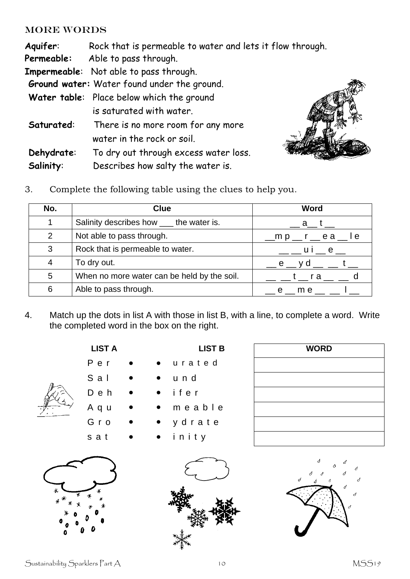#### MORE WORDS

| Aquifer:   | Rock that is permeable to water and lets it flow through. |
|------------|-----------------------------------------------------------|
| Permeable: | Able to pass through.                                     |
|            | <b>Impermeable:</b> Not able to pass through.             |
|            | Ground water: Water found under the ground.               |
|            | Water table: Place below which the ground                 |
|            | is saturated with water.                                  |
| Saturated: | There is no more room for any more                        |
|            | water in the rock or soil.                                |
| Dehydrate: | To dry out through excess water loss.                     |
| Salinity:  | Describes how salty the water is.                         |



3. Complete the following table using the clues to help you.

| No.           | <b>Clue</b>                                 | <b>Word</b>                                                        |
|---------------|---------------------------------------------|--------------------------------------------------------------------|
|               | Salinity describes how ____ the water is.   | a t                                                                |
| $\mathcal{P}$ | Not able to pass through.                   | $\text{m p }$ $\text{r }$ $\text{r }$ $\text{e }$ a $\text{e }$ le |
| 3             | Rock that is permeable to water.            | ____ui__e__                                                        |
| 4             | To dry out.                                 | __ e __ y d __  __ t __                                            |
| 5             | When no more water can be held by the soil. | t _ra__                                                            |
| 6             | Able to pass through.                       | e me                                                               |

4. Match up the dots in list A with those in list B, with a line, to complete a word. Write the completed word in the box on the right.



|       | Per       |  | urated         |
|-------|-----------|--|----------------|
|       | $S$ a $I$ |  | und            |
|       | Deh       |  | $\bullet$ ifer |
| كمييا | Aqu       |  | meabl          |
|       | Gro       |  | ydrate         |
|       |           |  |                |

| S a l | $\bullet$ | $\bullet$ und  |
|-------|-----------|----------------|
| Deh   | $\bullet$ | $\bullet$ ifer |

**LIST A LIST B** 

- m e a b l e
- y drate
- sat • inity





| <b>WORD</b> |  |
|-------------|--|
|             |  |
|             |  |
|             |  |
|             |  |
|             |  |
|             |  |

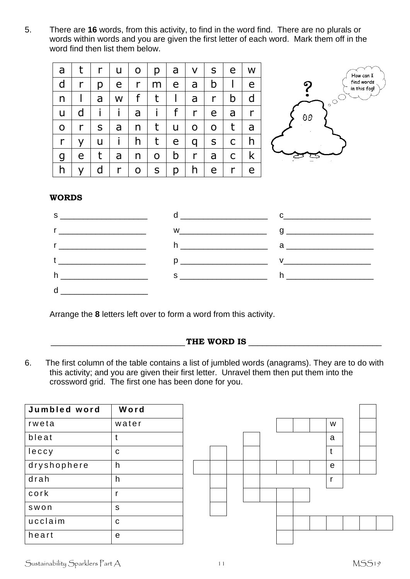5. There are **16** words, from this activity, to find in the word find. There are no plurals or words within words and you are given the first letter of each word. Mark them off in the word find then list them below.

| a            | t            | $\mathsf{r}$ | $\mathsf{u}$                         | $\overline{O}$  | $p \mid$         | a              | $\overline{\mathsf{V}}$ | S                   |              | e w          |
|--------------|--------------|--------------|--------------------------------------|-----------------|------------------|----------------|-------------------------|---------------------|--------------|--------------|
| $\mathsf{d}$ | $r \mid$     | $p \mid$     | $e\perp$                             | $r_{\parallel}$ | m                | $\mathsf{e}$   | $a \mid$                | b                   | $\Box$       | e            |
| $\mathsf{n}$ | $\mathbf{I}$ |              | a   w                                | f               | $\mathsf{t}$     | $\perp$        | $\mathsf{a}$            | $\lfloor r \rfloor$ | b            | $\mathsf{d}$ |
| U.           |              |              | $d \mid i \mid i \mid a \mid i \mid$ |                 |                  |                | f   r                   | e l                 | a            | $\mathsf{r}$ |
| $\mathsf{O}$ | $r \perp$    | $S \mid$     |                                      | a   n           | t                | U              | $O \mid$                | $O \mid$            | $\mathsf{t}$ | a            |
| $\mathsf{r}$ | $y \mid$     |              | $u \mid i \mid$                      | h               | $t -$<br>$\perp$ | e <sub>1</sub> | $q \mid$                | S                   | $\mathsf{C}$ | h            |
| $\mathsf g$  | $\mathsf{e}$ | t            | a                                    | n.              | $\mathsf{O}$     | $\mathsf{b}$   | r                       | a                   | $\mathsf{C}$ | k            |
| h            | <b>y</b>     | $\mathsf{d}$ | r                                    | $\mathsf{O}$    | S                | p              | h.                      |                     | $e \mid r$   | e            |



#### **WORDS**



Arrange the **8** letters left over to form a word from this activity.

#### \_\_\_\_\_\_\_\_\_\_\_\_\_\_\_\_\_\_\_\_\_\_\_\_\_\_\_\_\_**THE WORD IS** \_\_\_\_\_\_\_\_\_\_\_\_\_\_\_\_\_\_\_\_\_\_\_\_\_\_\_\_\_

6. The first column of the table contains a list of jumbled words (anagrams). They are to do with this activity; and you are given their first letter. Unravel them then put them into the crossword grid. The first one has been done for you.

| Jumbled word | Word         |  |  |  |  |              |  |
|--------------|--------------|--|--|--|--|--------------|--|
| rweta        | water        |  |  |  |  | W            |  |
| bleat        | t            |  |  |  |  | a            |  |
| leccy        | C            |  |  |  |  | $\mathbf t$  |  |
| dryshophere  | h            |  |  |  |  | e            |  |
| drah         | h            |  |  |  |  | $\mathbf{r}$ |  |
| cork         | r            |  |  |  |  |              |  |
| swon         | $\mathsf{s}$ |  |  |  |  |              |  |
| ucclaim      | C            |  |  |  |  |              |  |
| heart        | e            |  |  |  |  |              |  |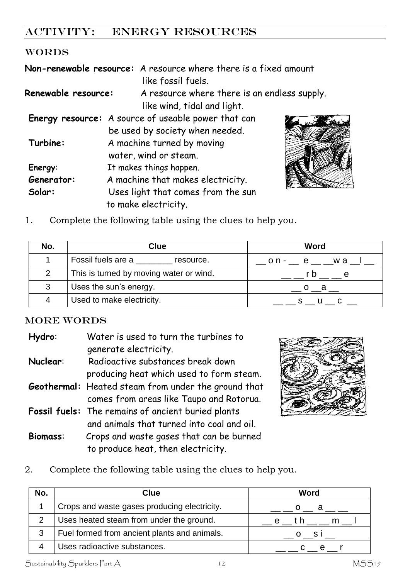# ACTIVITY: ENERGY RESOURCES

#### WORDS

|                            | Non-renewable resource: A resource where there is a fixed amount |
|----------------------------|------------------------------------------------------------------|
|                            | like fossil fuels.                                               |
| <b>Renewable resource:</b> | A resource where there is an endless supply.                     |
|                            | like wind, tidal and light.                                      |
|                            | Energy resource: A source of useable power that can              |
|                            | be used by society when needed.                                  |
| Turbine:                   | A machine turned by moving                                       |
|                            | water, wind or steam.                                            |
| Energy:                    | It makes things happen.                                          |
| Generator:                 | A machine that makes electricity.                                |
| Solar:                     | Uses light that comes from the sun                               |
|                            | to make electricity.                                             |



1. Complete the following table using the clues to help you.

| No. | <b>Clue</b>                             | <b>Word</b> |  |  |
|-----|-----------------------------------------|-------------|--|--|
|     | Fossil fuels are a<br>resource.         | on- e wa    |  |  |
| 2   | This is turned by moving water or wind. | r n         |  |  |
| 3   | Uses the sun's energy.                  | - a         |  |  |
| 4   | Used to make electricity.               |             |  |  |

#### MORE WORDS

| Hydro:          | Water is used to turn the turbines to               |
|-----------------|-----------------------------------------------------|
|                 | generate electricity.                               |
| Nuclear:        | Radioactive substances break down                   |
|                 | producing heat which used to form steam.            |
|                 | Geothermal: Heated steam from under the ground that |
|                 | comes from areas like Taupo and Rotorua.            |
|                 | Fossil fuels: The remains of ancient buried plants  |
|                 | and animals that turned into coal and oil.          |
| <b>Biomass:</b> | Crops and waste gases that can be burned            |
|                 | to produce heat, then electricity.                  |



2. Complete the following table using the clues to help you.

| No. | Clue                                         | Word                                                                                                                                                                                                                                                                                                                                                                                                                                                                            |
|-----|----------------------------------------------|---------------------------------------------------------------------------------------------------------------------------------------------------------------------------------------------------------------------------------------------------------------------------------------------------------------------------------------------------------------------------------------------------------------------------------------------------------------------------------|
|     | Crops and waste gases producing electricity. | a a a                                                                                                                                                                                                                                                                                                                                                                                                                                                                           |
|     | Uses heated steam from under the ground.     | e th                                                                                                                                                                                                                                                                                                                                                                                                                                                                            |
| 3   | Fuel formed from ancient plants and animals. | $\overline{\phantom{0}}$ $\overline{\phantom{0}}$ $\overline{\phantom{0}}$ $\overline{\phantom{0}}$ $\overline{\phantom{0}}$ $\overline{\phantom{0}}$ $\overline{\phantom{0}}$ $\overline{\phantom{0}}$ $\overline{\phantom{0}}$ $\overline{\phantom{0}}$ $\overline{\phantom{0}}$ $\overline{\phantom{0}}$ $\overline{\phantom{0}}$ $\overline{\phantom{0}}$ $\overline{\phantom{0}}$ $\overline{\phantom{0}}$ $\overline{\phantom{0}}$ $\overline{\phantom{0}}$ $\overline{\$ |
|     | Uses radioactive substances.                 |                                                                                                                                                                                                                                                                                                                                                                                                                                                                                 |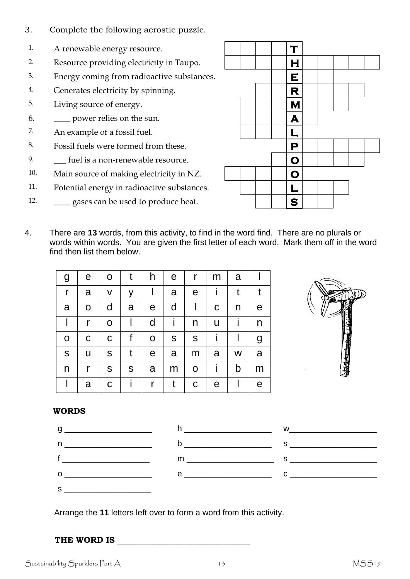- 3. Complete the following acrostic puzzle.
- 1. A renewable energy resource.
- 2. Resource providing electricity in Taupo.  $\vert \vert \vert \vert \vert$  | | | | |
- 3. Energy coming from radioactive substances. **E**
- 4. Generates electricity by spinning.
- 5. Living source of energy. **M M**
- 6.  $\Box$  power relies on the sun.  $\Box$
- 7. An example of a fossil fuel.  $\|\cdot\|$
- 8. Fossil fuels were formed from these.
- 9. \_\_\_ fuel is a non-renewable resource. **O**
- 10. Main source of making electricity in NZ. **D D D**
- 11. Potential energy in radioactive substances. **L L L**
- 12.  $\qquad \qquad$  gases can be used to produce heat.  $\qquad \qquad \qquad$   $\qquad \qquad$   $\qquad \qquad$   $\qquad \qquad$   $\qquad$   $\qquad$   $\qquad$   $\qquad$   $\qquad$   $\qquad$   $\qquad$   $\qquad$   $\qquad$   $\qquad$   $\qquad$   $\qquad$   $\qquad$   $\qquad$   $\qquad$   $\qquad$   $\qquad$   $\qquad$   $\qquad$   $\qquad$   $\qquad$   $\qquad$   $\$



4. There are **13** words, from this activity, to find in the word find. There are no plurals or words within words. You are given the first letter of each word. Mark them off in the word find then list them below.

| g           | e           | O           | t            | h           | e            | r           | m           | a |   |
|-------------|-------------|-------------|--------------|-------------|--------------|-------------|-------------|---|---|
| r           | a           | V           | У            |             | a            | e           |             | t |   |
| a           | $\mathsf O$ | d           | a            | e           | $\mathsf{d}$ |             | $\mathbf C$ | n | e |
|             | r           | $\mathbf O$ |              | d           | i.           | n           | U           |   | n |
| $\mathbf O$ | C           | $\mathbf C$ | f            | $\mathbf O$ | S            | ${\sf S}$   | T           |   | g |
| $\mathsf S$ | U           | S           | $\mathsf{t}$ | e           | a            | m           | a           | W | a |
| n           | r           | S           | S            | a           | m            | $\mathbf O$ | i.          | b | m |
|             | a           | C           |              | r           | t            | $\mathbf C$ | e           |   | e |



#### **WORDS**



Arrange the **11** letters left over to form a word from this activity.

#### **THE WORD IS** \_\_\_\_\_\_\_\_\_\_\_\_\_\_\_\_\_\_\_\_\_\_\_\_\_\_\_\_\_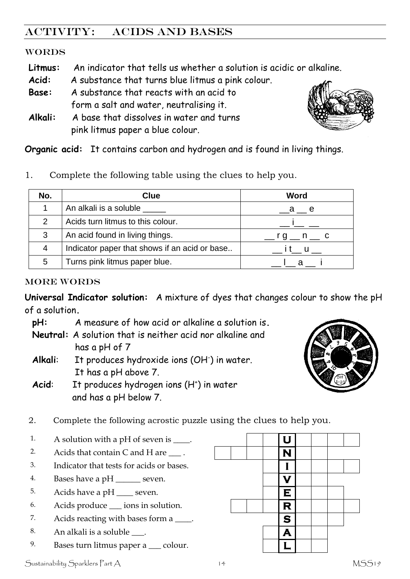# ACTIVITY: acids and bases

#### WORDS

- **Litmus:** An indicator that tells us whether a solution is acidic or alkaline.
- **Acid:** A substance that turns blue litmus a pink colour.
- **Base:** A substance that reacts with an acid to form a salt and water, neutralising it.
- **Alkali:** A base that dissolves in water and turns pink litmus paper a blue colour.



**Organic acid:** It contains carbon and hydrogen and is found in living things.

1. Complete the following table using the clues to help you.

| No.           | Clue                                          | Word                      |
|---------------|-----------------------------------------------|---------------------------|
|               | An alkali is a soluble _____                  | a e                       |
| $\mathcal{P}$ | Acids turn litmus to this colour.             |                           |
| 3             | An acid found in living things.               | $\sqrt{g}$ n $\sqrt{g}$ c |
| 4             | Indicator paper that shows if an acid or base | it u                      |
| 5             | Turns pink litmus paper blue.                 |                           |

#### MORE WORDS

**Universal Indicator solution:** A mixture of dyes that changes colour to show the pH of a solution**.**

**pH:** A measure of how acid or alkaline a solution is**. Neutral:** A solution that is neither acid nor alkaline and

has a pH of 7

- Alkali: It produces hydroxide ions (OH<sup>-</sup>) in water. It has a pH above 7.
- Acid: It produces hydrogen ions (H<sup>+</sup>) in water and has a pH below 7.



2. Complete the following acrostic puzzle using the clues to help you.

- 1. A solution with a pH of seven is  $\qquad \qquad$  **U**
- 2. Acids that contain C and H are  $\Box$ .  $\parallel$   $\parallel$   $\parallel$   $\parallel$   $\parallel$
- 3. Indicator that tests for acids or bases. **I**
- 4. Bases have a pH seven.  $\blacksquare$
- 5. Acids have a pH  $\_\_\_\$ seven. **E**
- 6. Acids produce \_\_\_ ions in solution. **R**
- 7. Acids reacting with bases form a \_\_\_\_. **S**
- 8. An alkali is a soluble  $\qquad \qquad$ .
- 9. Bases turn litmus paper a <u>colour.</u> **L L**

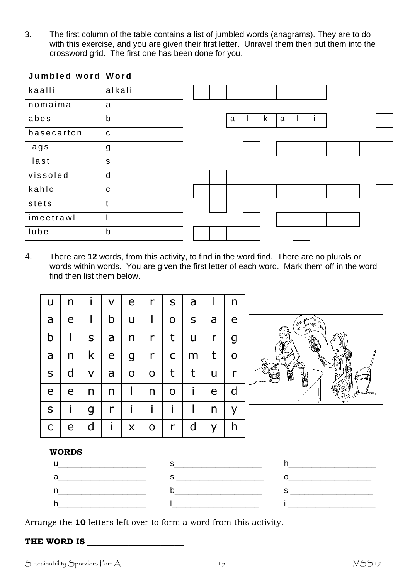3. The first column of the table contains a list of jumbled words (anagrams). They are to do with this exercise, and you are given their first letter. Unravel them then put them into the crossword grid. The first one has been done for you.

| Jumbled word Word |                |  |   |             |   |  |  |  |
|-------------------|----------------|--|---|-------------|---|--|--|--|
| kaalli            | alkali         |  |   |             |   |  |  |  |
| nomaima           | a              |  |   |             |   |  |  |  |
| abes              | $\mathsf b$    |  | a | $\mathsf k$ | a |  |  |  |
| basecarton        | $\mathbf C$    |  |   |             |   |  |  |  |
| ags               | g              |  |   |             |   |  |  |  |
| last              | ${\sf S}$      |  |   |             |   |  |  |  |
| vissoled          | d              |  |   |             |   |  |  |  |
| kahlc             | $\mathbf C$    |  |   |             |   |  |  |  |
| stets             | $\mathfrak{t}$ |  |   |             |   |  |  |  |
| imeetrawl         | $\mathsf{I}$   |  |   |             |   |  |  |  |
| lube              | $\mathsf b$    |  |   |             |   |  |  |  |

4. There are **12** words, from this activity, to find in the word find. There are no plurals or words within words. You are given the first letter of each word. Mark them off in the word find then list them below.

| u            | n |   | V            | e            | r            | S            | a         |   | n |   |
|--------------|---|---|--------------|--------------|--------------|--------------|-----------|---|---|---|
| a            | e |   | b            | U            |              | $\mathbf O$  | ${\sf S}$ | a | e |   |
| b            |   | S | a            | n            | r            | t            | U         | r | g |   |
| a            | n | k | e            | g            | $\mathsf{r}$ | $\mathsf{C}$ | m         | t | O | Ę |
| $\mathsf S$  | d | V | a            | O            | $\mathbf O$  | t            | t         | u | r |   |
| e            | e | n | n            |              | n            | $\mathbf O$  |           | e | d |   |
| ${\sf S}$    |   | g | $\mathsf{r}$ | $\mathbf{I}$ | i            | i            |           | n | у |   |
| $\mathsf{C}$ | e | d | i.           | X            | O            | r            | d         | У | h |   |



#### **WORDS**



Arrange the **10** letters left over to form a word from this activity.

#### **THE WORD IS** \_\_\_\_\_\_\_\_\_\_\_\_\_\_\_\_\_\_\_\_\_